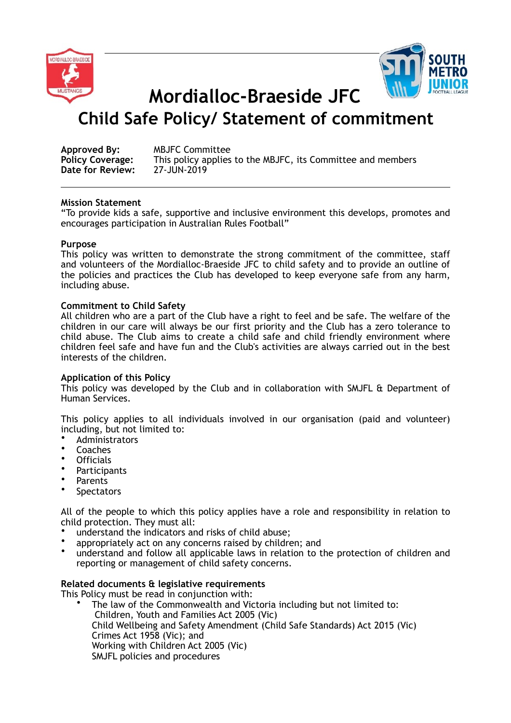



**Mordialloc-Braeside JFC** 

# **Child Safe Policy/ Statement of commitment**

| Approved By:            | <b>MBJFC Committee</b>                                      |
|-------------------------|-------------------------------------------------------------|
| <b>Policy Coverage:</b> | This policy applies to the MBJFC, its Committee and members |
| Date for Review:        | 27-JUN-2019                                                 |

## **Mission Statement**

"To provide kids a safe, supportive and inclusive environment this develops, promotes and encourages participation in Australian Rules Football"

## **Purpose**

This policy was written to demonstrate the strong commitment of the committee, staff and volunteers of the Mordialloc-Braeside JFC to child safety and to provide an outline of the policies and practices the Club has developed to keep everyone safe from any harm, including abuse.

### **Commitment to Child Safety**

All children who are a part of the Club have a right to feel and be safe. The welfare of the children in our care will always be our first priority and the Club has a zero tolerance to child abuse. The Club aims to create a child safe and child friendly environment where children feel safe and have fun and the Club's activities are always carried out in the best interests of the children.

# **Application of this Policy**

This policy was developed by the Club and in collaboration with SMJFL & Department of Human Services.

This policy applies to all individuals involved in our organisation (paid and volunteer) including, but not limited to:

- Administrators
- Coaches
- Officials
- **Participants**
- Parents
- **Spectators**

All of the people to which this policy applies have a role and responsibility in relation to child protection. They must all:

- understand the indicators and risks of child abuse;
- appropriately act on any concerns raised by children; and
- understand and follow all applicable laws in relation to the protection of children and reporting or management of child safety concerns.

# **Related documents & legislative requirements**

This Policy must be read in conjunction with:

• The law of the Commonwealth and Victoria including but not limited to: Children, Youth and Families Act 2005 (Vic) Child Wellbeing and Safety Amendment (Child Safe Standards) Act 2015 (Vic) Crimes Act 1958 (Vic); and Working with Children Act 2005 (Vic) SMJFL policies and procedures